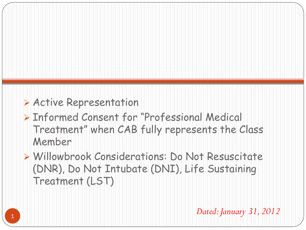#### Active Representation

 Informed Consent for "Professional Medical Treatment" when CAB fully represents the Class Member

 Willowbrook Considerations: Do Not Resuscitate (DNR), Do Not Intubate (DNI), Life Sustaining Treatment (LST)

*Dated: January 31, 2012*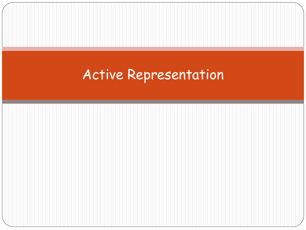# Active Representation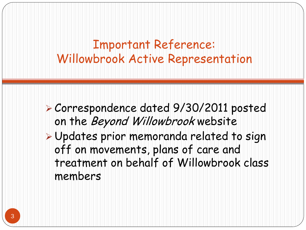Important Reference: Willowbrook Active Representation

- Correspondence dated 9/30/2011 posted on the Beyond Willowbrook website
- Updates prior memoranda related to sign off on movements, plans of care and treatment on behalf of Willowbrook class members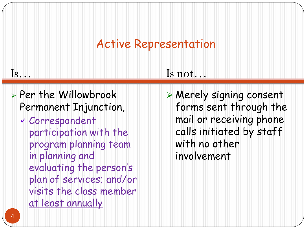## Active Representation

| $\overline{\mathrm{ls}}$                                                                                                                                                                                                                       | Is not                                                                                                                                    |
|------------------------------------------------------------------------------------------------------------------------------------------------------------------------------------------------------------------------------------------------|-------------------------------------------------------------------------------------------------------------------------------------------|
| > Per the Willowbrook<br>Permanent Injunction,<br>√ Correspondent<br>participation with the<br>program planning team<br>in planning and<br>evaluating the person's<br>plan of services; and/or<br>visits the class member<br>at least annually | > Merely signing consent<br>forms sent through the<br>mail or receiving phone<br>calls initiated by staff<br>with no other<br>involvement |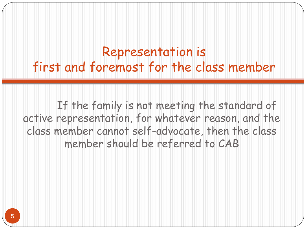## Representation is first and foremost for the class member

If the family is not meeting the standard of active representation, for whatever reason, and the class member cannot self-advocate, then the class member should be referred to CAB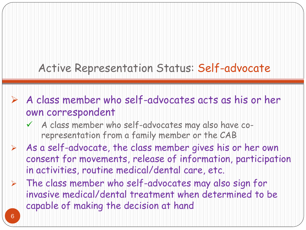#### Active Representation Status: Self-advocate

- $\triangleright$  A class member who self-advocates acts as his or her own correspondent
	- $\checkmark$  A class member who self-advocates may also have corepresentation from a family member or the CAB
- $\triangleright$  As a self-advocate, the class member gives his or her own consent for movements, release of information, participation in activities, routine medical/dental care, etc.
- $\triangleright$  The class member who self-advocates may also sign for invasive medical/dental treatment when determined to be capable of making the decision at hand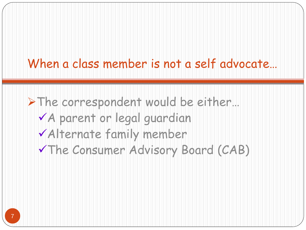## When a class member is not a self advocate...

> The correspondent would be either... A parent or legal guardian Alternate family member The Consumer Advisory Board (CAB)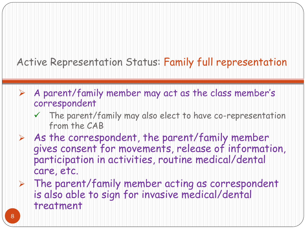#### Active Representation Status: Family full representation

- $\triangleright$  A parent/family member may act as the class member's correspondent
	- $\checkmark$  The parent/family may also elect to have co-representation from the CAB
- $\triangleright$  As the correspondent, the parent/family member gives consent for movements, release of information, participation in activities, routine medical/dental care, etc.
- $\triangleright$  The parent/family member acting as correspondent is also able to sign for invasive medical/dental treatment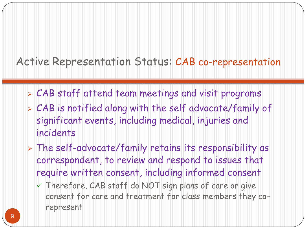#### Active Representation Status: CAB co-representation

- CAB staff attend team meetings and visit programs
- CAB is notified along with the self advocate/family of significant events, including medical, injuries and incidents
- The self-advocate/family retains its responsibility as correspondent, to review and respond to issues that require written consent, including informed consent
	- $\checkmark$  Therefore, CAB staff do NOT sign plans of care or give consent for care and treatment for class members they corepresent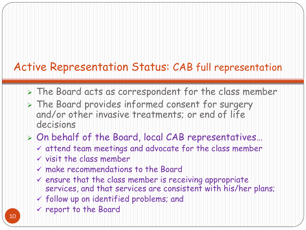#### Active Representation Status: CAB full representation

- > The Board acts as correspondent for the class member
- > The Board provides informed consent for surgery and/or other invasive treatments; or end of life decisions

#### On behalf of the Board, local CAB representatives…

- attend team meetings and advocate for the class member
- $\vee$  visit the class member
- make recommendations to the Board
- $\vee$  ensure that the class member is receiving appropriate services, and that services are consistent with his/her plans;
- $\checkmark$  follow up on identified problems; and
- $\times$  report to the Board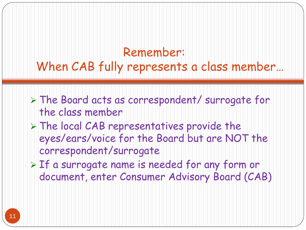#### Remember: When CAB fully represents a class member…

- The Board acts as correspondent/ surrogate for the class member
- $\triangleright$  The local CAB representatives provide the eyes/ears/voice for the Board but are NOT the correspondent/surrogate
- $\triangleright$  If a surrogate name is needed for any form or document, enter Consumer Advisory Board (CAB)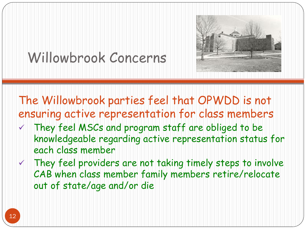

# Willowbrook Concerns

The Willowbrook parties feel that OPWDD is not ensuring active representation for class members

- $\checkmark$  They feel MSCs and program staff are obliged to be knowledgeable regarding active representation status for each class member
- $\checkmark$  They feel providers are not taking timely steps to involve CAB when class member family members retire/relocate out of state/age and/or die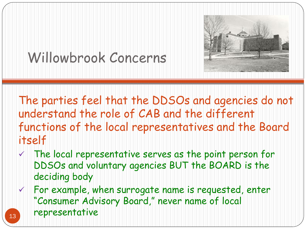# Willowbrook Concerns

The parties feel that the DDSOs and agencies do not understand the role of CAB and the different functions of the local representatives and the Board itself

- $\checkmark$  The local representative serves as the point person for DDSOs and voluntary agencies BUT the BOARD is the deciding body
- $\checkmark$  For example, when surrogate name is requested, enter "Consumer Advisory Board," never name of local 13 representative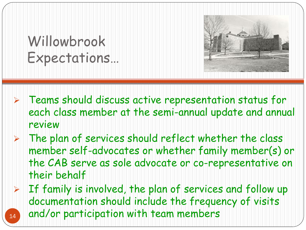Willowbrook Expectations…



- Teams should discuss active representation status for each class member at the semi-annual update and annual review
- $\triangleright$  The plan of services should reflect whether the class member self-advocates or whether family member(s) or the CAB serve as sole advocate or co-representative on their behalf
- $\triangleright$  If family is involved, the plan of services and follow up documentation should include the frequency of visits 14 and/or participation with team members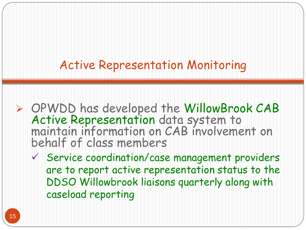## Active Representation Monitoring

- OPWDD has developed the WillowBrook CAB Active Representation data system to maintain information on CAB involvement on behalf of class members
	- Service coordination/case management providers are to report active representation status to the DDSO Willowbrook liaisons quarterly along with caseload reporting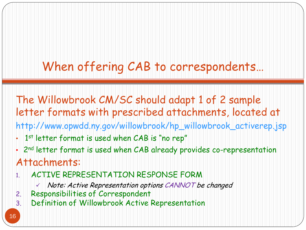# When offering CAB to correspondents…

The Willowbrook CM/SC should adapt 1 of 2 sample letter formats with prescribed attachments, located at http://www.opwdd.ny.gov/willowbrook/hp\_willowbrook\_activerep.jsp

- 1<sup>st</sup> letter format is used when CAB is "no rep"
- 2nd letter format is used when CAB already provides co-representation

#### Attachments:

- 1. ACTIVE REPRESENTATION RESPONSE FORM
	- $\vee$  Note: Active Representation options CANNOT be changed
- 2. Responsibilities of Correspondent
- 3. Definition of Willowbrook Active Representation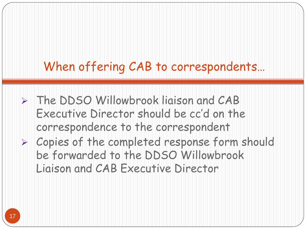# When offering CAB to correspondents…

- > The DDSO Willowbrook ligison and CAB Executive Director should be cc'd on the correspondence to the correspondent
- Copies of the completed response form should be forwarded to the DDSO Willowbrook Liaison and CAB Executive Director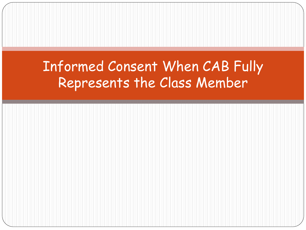# Informed Consent When CAB Fully Represents the Class Member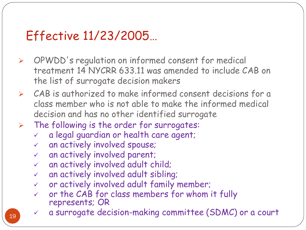## Effective 11/23/2005…

- OPWDD's regulation on informed consent for medical treatment 14 NYCRR 633.11 was amended to include CAB on the list of surrogate decision makers
- $\triangleright$  CAB is authorized to make informed consent decisions for a class member who is not able to make the informed medical decision and has no other identified surrogate
- $\triangleright$  The following is the order for surrogates:
	- a legal guardian or health care agent;
	- an actively involved spouse;
	- an actively involved parent;
	- an actively involved adult child;
	- an actively involved adult sibling;
	- $\checkmark$  or actively involved adult family member;
	- or the CAB for class members for whom it fully represents; OR
	- a surrogate decision-making committee (SDMC) or a court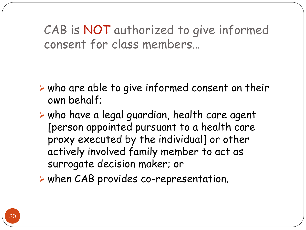CAB is NOT authorized to give informed consent for class members…

- $\triangleright$  who are able to give informed consent on their own behalf;
- $\triangleright$  who have a legal guardian, health care agent [person appointed pursuant to a health care proxy executed by the individual] or other actively involved family member to act as surrogate decision maker; or
- $\triangleright$  when CAB provides co-representation.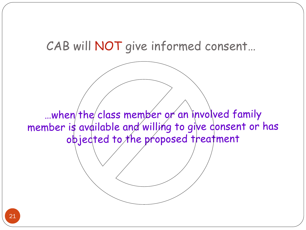

...when the class member or an involved family member is available and willing to give consent or has objected to the proposed treatment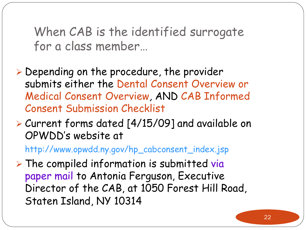When CAB is the identified surrogate for a class member…

- Depending on the procedure, the provider submits either the Dental Consent Overview or Medical Consent Overview, AND CAB Informed Consent Submission Checklist
- Current forms dated [4/15/09] and available on OPWDD's website at

http://www.opwdd.ny.gov/hp\_cabconsent\_index.jsp

 $\triangleright$  The compiled information is submitted via paper mail to Antonia Ferguson, Executive Director of the CAB, at 1050 Forest Hill Road, Staten Island, NY 10314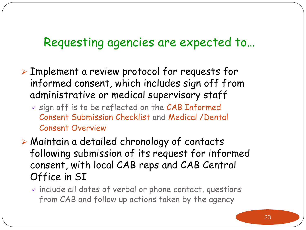- Implement a review protocol for requests for informed consent, which includes sign off from administrative or medical supervisory staff
	- $\checkmark$  sign off is to be reflected on the CAB Informed Consent Submission Checklist and Medical /Dental Consent Overview
- Maintain a detailed chronology of contacts following submission of its request for informed consent, with local CAB reps and CAB Central Office in SI
	- $\checkmark$  include all dates of verbal or phone contact, questions from CAB and follow up actions taken by the agency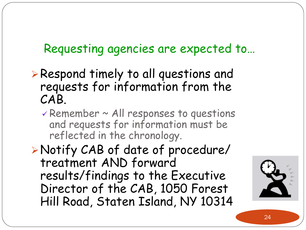- Respond timely to all questions and requests for information from the CAB.
	- $\checkmark$  Remember  $\checkmark$  All responses to questions and requests for information must be reflected in the chronology.

Notify CAB of date of procedure/ treatment AND forward results/findings to the Executive Director of the CAB, 1050 Forest Hill Road, Staten Island, NY 10314

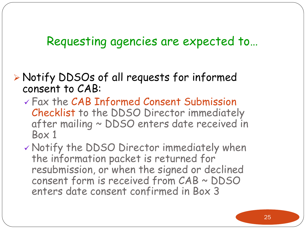#### Notify DDSOs of all requests for informed consent to CAB:

 Fax the CAB Informed Consent Submission Checklist to the DDSO Director immediately after mailing ~ DDSO enters date received in Box 1

 Notify the DDSO Director immediately when the information packet is returned for resubmission, or when the signed or declined consent form is received from CAB ~ DDSO enters date consent confirmed in Box 3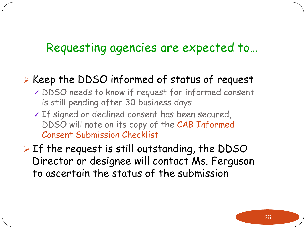#### $\triangleright$  Keep the DDSO informed of status of request

- DDSO needs to know if request for informed consent is still pending after 30 business days
- If signed or declined consent has been secured, DDSO will note on its copy of the CAB Informed Consent Submission Checklist

 $\triangleright$  If the request is still outstanding, the DDSO Director or designee will contact Ms. Ferguson to ascertain the status of the submission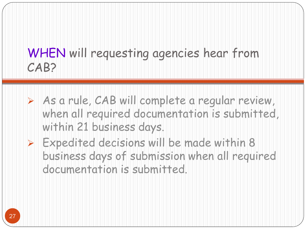## WHEN will requesting agencies hear from CAB?

- As a rule, CAB will complete a regular review, when all required documentation is submitted, within 21 business days.
- $\triangleright$  Expedited decisions will be made within 8 business days of submission when all required documentation is submitted.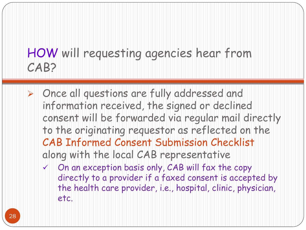## HOW will requesting agencies hear from CAB?

- Once all questions are fully addressed and information received, the signed or declined consent will be forwarded via regular mail directly to the originating requestor as reflected on the CAB Informed Consent Submission Checklist along with the local CAB representative
	- $\checkmark$  On an exception basis only, CAB will fax the copy directly to a provider if a faxed consent is accepted by the health care provider, i.e., hospital, clinic, physician, etc.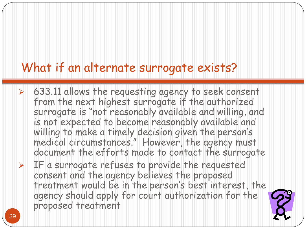#### What if an alternate surrogate exists?

- $\triangleright$  633.11 allows the requesting agency to seek consent from the next highest surrogate if the authorized surrogate is "not reasonably available and willing, and is not expected to become reasonably available and willing to make a timely decision given the person's medical circumstances." However, the agency must document the efforts made to contact the surrogate
- $\triangleright$  IF a surrogate refuses to provide the requested consent and the agency believes the proposed treatment would be in the person's best interest, the agency should apply for court authorization for the proposed treatment

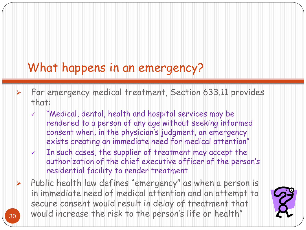# What happens in an emergency?

- For emergency medical treatment, Section 633.11 provides that:
	- "Medical, dental, health and hospital services may be rendered to a person of any age without seeking informed consent when, in the physician's judgment, an emergency exists creating an immediate need for medical attention"
	- $\checkmark$  In such cases, the supplier of treatment may accept the authorization of the chief executive officer of the person's residential facility to render treatment
- $\triangleright$  Public health law defines "emergency" as when a person is in immediate need of medical attention and an attempt to secure consent would result in delay of treatment that 30 would increase the risk to the person's life or health"

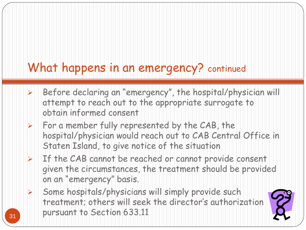# What happens in an emergency? continued

- $\triangleright$  Before declaring an "emergency", the hospital/physician will attempt to reach out to the appropriate surrogate to obtain informed consent
- $\triangleright$  For a member fully represented by the CAB, the hospital/physician would reach out to CAB Central Office in Staten Island, to give notice of the situation
- $\triangleright$  If the CAB cannot be reached or cannot provide consent given the circumstances, the treatment should be provided on an "emergency" basis.
- $\triangleright$  Some hospitals/physicians will simply provide such treatment; others will seek the director's authorization 31 **pursuant to Section 633.11**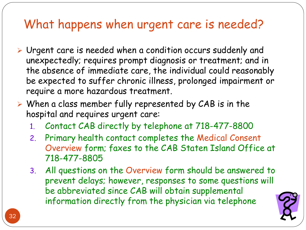## What happens when urgent care is needed?

- Urgent care is needed when a condition occurs suddenly and unexpectedly; requires prompt diagnosis or treatment; and in the absence of immediate care, the individual could reasonably be expected to suffer chronic illness, prolonged impairment or require a more hazardous treatment.
- $\triangleright$  When a class member fully represented by CAB is in the hospital and requires urgent care:
	- 1. Contact CAB directly by telephone at 718-477-8800
	- 2. Primary health contact completes the Medical Consent Overview form; faxes to the CAB Staten Island Office at 718-477-8805
	- 3. All questions on the Overview form should be answered to prevent delays; however, responses to some questions will be abbreviated since CAB will obtain supplemental information directly from the physician via telephone

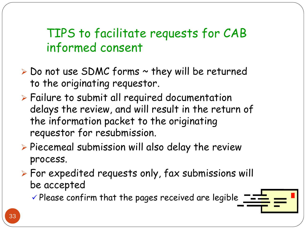- $\triangleright$  Do not use SDMC forms  $\sim$  they will be returned to the originating requestor.
- Failure to submit all required documentation delays the review, and will result in the return of the information packet to the originating requestor for resubmission.
- $\triangleright$  Piecemeal submission will also delay the review process.
- For expedited requests only, fax submissions will be accepted

 $\checkmark$  Please confirm that the pages received are legible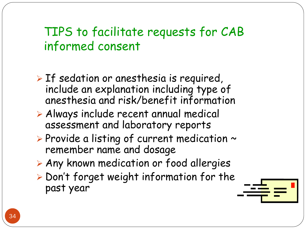- $\triangleright$  If sedation or anesthesia is required, include an explanation including type of anesthesia and risk/benefit information
- Always include recent annual medical assessment and laboratory reports
- $\triangleright$  Provide a listing of current medication  $\sim$ remember name and dosage
- Any known medication or food allergies
- $\triangleright$  Don't forget weight information for the past year

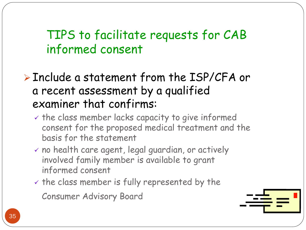#### Include a statement from the ISP/CFA or a recent assessment by a qualified examiner that confirms:

- $\vee$  the class member lacks capacity to give informed consent for the proposed medical treatment and the basis for the statement
- $\checkmark$  no health care agent, legal guardian, or actively involved family member is available to grant informed consent
- $\checkmark$  the class member is fully represented by the

Consumer Advisory Board

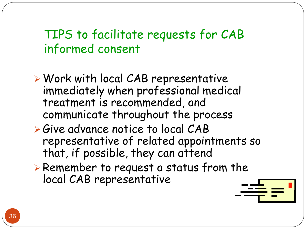- Work with local CAB representative immediately when professional medical treatment is recommended, and communicate throughout the process
- Give advance notice to local CAB representative of related appointments so that, if possible, they can attend
- Remember to request a status from the local CAB representative

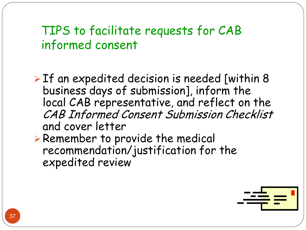$\triangleright$  If an expedited decision is needed [within 8 business days of submission], inform the local CAB representative, and reflect on the CAB Informed Consent Submission Checklist and cover letter

 Remember to provide the medical recommendation/justification for the expedited review

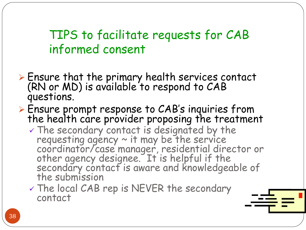- Ensure that the primary health services contact (RN or MD) is available to respond to CAB questions.
- Ensure prompt response to CAB's inquiries from the health care provider proposing the treatment
	- $\checkmark$  The secondary contact is designated by the requesting agency  $\sim$  it may be the service coordinator/case manager, residential director or other agency designee. It is helpful if the secondary contact is aware and knowledgeable of the submission
	- $\checkmark$  The local CAB rep is NEVER the secondary contact

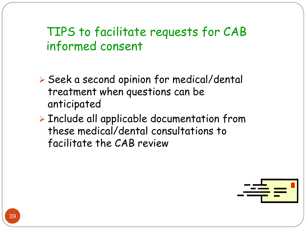Seek a second opinion for medical/dental treatment when questions can be anticipated

 Include all applicable documentation from these medical/dental consultations to facilitate the CAB review

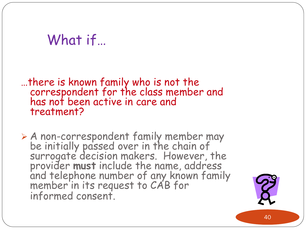# What if…

…there is known family who is not the correspondent for the class member and has not been active in care and treatment?

 A non-correspondent family member may be initially passed over in the chain of surrogate decision makers. However, the provider **must** include the name, address and telephone number of any known family member in its request to CAB for informed consent.

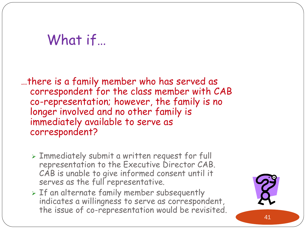# What if…

…there is a family member who has served as correspondent for the class member with CAB co-representation; however, the family is no longer involved and no other family is immediately available to serve as correspondent?

- Immediately submit a written request for full representation to the Executive Director CAB. CAB is unable to give informed consent until it serves as the full representative.
- $>$  If an alternate family member subsequently indicates a willingness to serve as correspondent, the issue of co-representation would be revisited.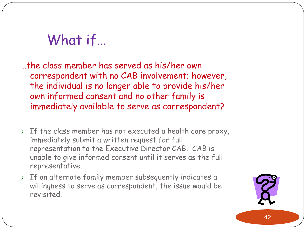# What if…

…the class member has served as his/her own correspondent with no CAB involvement; however, the individual is no longer able to provide his/her own informed consent and no other family is immediately available to serve as correspondent?

- $>$  If the class member has not executed a health care proxy, immediately submit a written request for full representation to the Executive Director CAB. CAB is unable to give informed consent until it serves as the full representative.
- $>$  If an alternate family member subsequently indicates a willingness to serve as correspondent, the issue would be revisited.

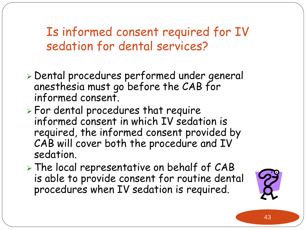Is informed consent required for IV sedation for dental services?

- Dental procedures performed under general anesthesia must go before the CAB for informed consent.
- $\triangleright$  For dental procedures that require informed consent in which IV sedation is required, the informed consent provided by CAB will cover both the procedure and IV sedation.
- > The local representative on behalf of CAB is able to provide consent for routine dental procedures when IV sedation is required.

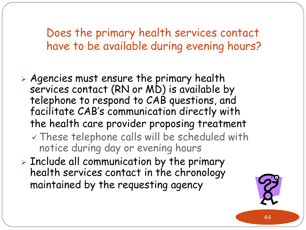Does the primary health services contact have to be available during evening hours?

- Agencies must ensure the primary health services contact (RN or MD) is available by telephone to respond to CAB questions, and facilitate CAB's communication directly with the health care provider proposing treatment These telephone calls will be scheduled with
	- notice during day or evening hours
- $\triangleright$  Include all communication by the primary health services contact in the chronology maintained by the requesting agency

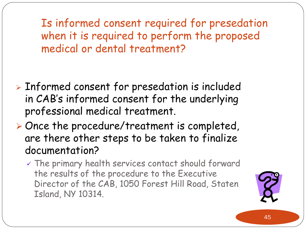Is informed consent required for presedation when it is required to perform the proposed medical or dental treatment?

- Informed consent for presedation is included in CAB's informed consent for the underlying professional medical treatment.
- Once the procedure/treatment is completed, are there other steps to be taken to finalize documentation?
	- $\checkmark$  The primary health services contact should forward the results of the procedure to the Executive Director of the CAB, 1050 Forest Hill Road, Staten Island, NY 10314.

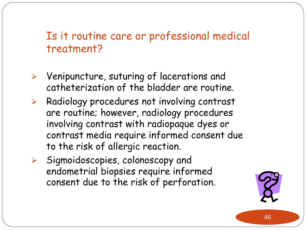- $\triangleright$  Venipuncture, suturing of lacerations and catheterization of the bladder are routine.
- $\triangleright$  Radiology procedures not involving contrast are routine; however, radiology procedures involving contrast with radiopaque dyes or contrast media require informed consent due to the risk of allergic reaction.
- $\triangleright$  Sigmoidoscopies, colonoscopy and endometrial biopsies require informed consent due to the risk of perforation.

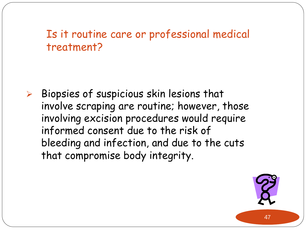$\triangleright$  Biopsies of suspicious skin lesions that involve scraping are routine; however, those involving excision procedures would require informed consent due to the risk of bleeding and infection, and due to the cuts that compromise body integrity.

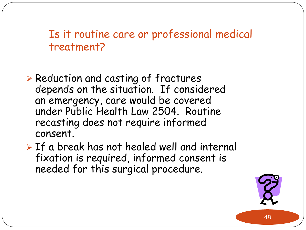- $\triangleright$  Reduction and casting of fractures depends on the situation. If considered an emergency, care would be covered under Public Health Law 2504. Routine recasting does not require informed consent.
- $\triangleright$  If a break has not healed well and internal fixation is required, informed consent is needed for this surgical procedure.

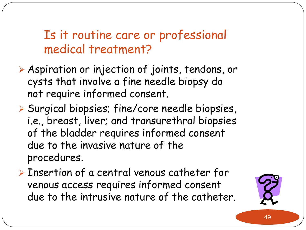- Aspiration or injection of joints, tendons, or cysts that involve a fine needle biopsy do not require informed consent.
- Surgical biopsies; fine/core needle biopsies, i.e., breast, liver; and transurethral biopsies of the bladder requires informed consent due to the invasive nature of the procedures.
- > Insertion of a central venous catheter for venous access requires informed consent due to the intrusive nature of the catheter.

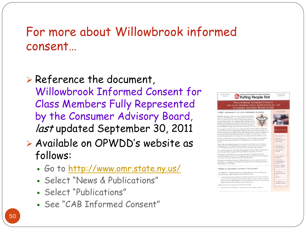#### For more about Willowbrook informed consent…

 $\triangleright$  Reference the document, Willowbrook Informed Consent for Class Members Fully Represented by the Consumer Advisory Board, last updated September 30, 2011

- Available on OPWDD's website as follows:
	- Go to<http://www.omr.state.ny.us/>
	- Select "News & Publications"
	- Select "Publications"
	- See "CAB Informed Consent"

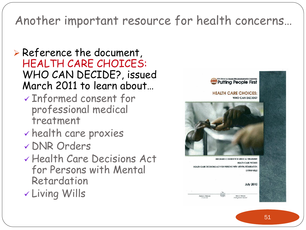## Another important resource for health concerns…

#### $\triangleright$  Reference the document, HEALTH CARE CHOICES: WHO CAN DECIDE?, issued March 2011 to learn about…

- Informed consent for professional medical treatment
- health care proxies
- DNR Orders
- Health Care Decisions Act for Persons with Mental Retardation
- Living Wills

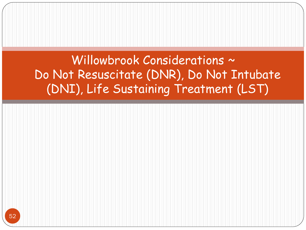Willowbrook Considerations ~ Do Not Resuscitate (DNR), Do Not Intubate (DNI), Life Sustaining Treatment (LST)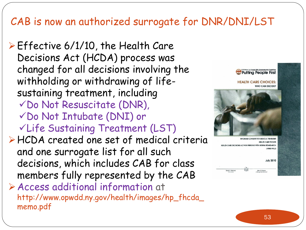#### CAB is now an authorized surrogate for DNR/DNI/LST

 $\triangleright$  Effective 6/1/10, the Health Care Decisions Act (HCDA) process was changed for all decisions involving the withholding or withdrawing of lifesustaining treatment, including Do Not Resuscitate (DNR), Do Not Intubate (DNI) or Life Sustaining Treatment (LST) HCDA created one set of medical criteria and one surrogate list for all such decisions, which includes CAB for class members fully represented by the CAB Access additional information at http://www.opwdd.ny.gov/health/images/hp\_fhcda\_ memo.pdf



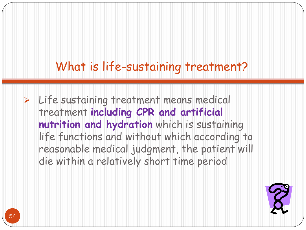## What is life-sustaining treatment?

 $\triangleright$  Life sustaining treatment means medical treatment **including CPR and artificial nutrition and hydration** which is sustaining life functions and without which according to reasonable medical judgment, the patient will die within a relatively short time period

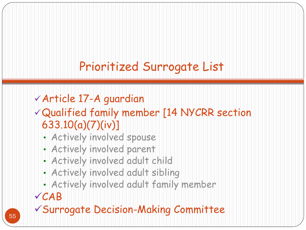# Prioritized Surrogate List

#### Article 17-A guardian

Qualified family member [14 NYCRR section 633.10(a)(7)(iv)]

- Actively involved spouse
- Actively involved parent
- Actively involved adult child
- Actively involved adult sibling
- Actively involved adult family member

#### CAB

Surrogate Decision-Making Committee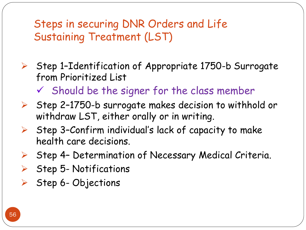Steps in securing DNR Orders and Life Sustaining Treatment (LST)

- $\triangleright$  Step 1-Identification of Appropriate 1750-b Surrogate from Prioritized List
	- $\checkmark$  Should be the signer for the class member
- $\triangleright$  Step 2-1750-b surrogate makes decision to withhold or withdraw LST, either orally or in writing.
- $\triangleright$  Step 3-Confirm individual's lack of capacity to make health care decisions.
- $\triangleright$  Step 4- Determination of Necessary Medical Criteria.
- $\triangleright$  Step 5- Notifications
- $\triangleright$  Step 6-Objections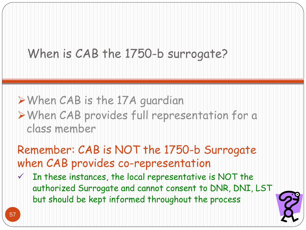## When is CAB the 1750-b surrogate?

#### When CAB is the 17A guardian When CAB provides full representation for a class member

Remember: CAB is NOT the 1750-b Surrogate when CAB provides co-representation

 $V$  In these instances, the local representative is NOT the authorized Surrogate and cannot consent to DNR, DNI, LST but should be kept informed throughout the process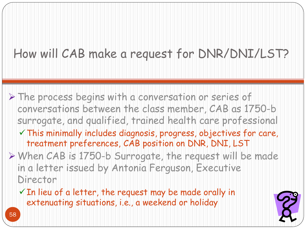# How will CAB make a request for DNR/DNI/LST?

- The process begins with a conversation or series of conversations between the class member, CAB as 1750-b surrogate, and qualified, trained health care professional
	- $\checkmark$  This minimally includes diagnosis, progress, objectives for care, treatment preferences, CAB position on DNR, DNI, LST
- When CAB is 1750-b Surrogate, the request will be made in a letter issued by Antonia Ferguson, Executive Director
	- $\checkmark$  In lieu of a letter, the request may be made orally in extenuating situations, i.e., a weekend or holiday

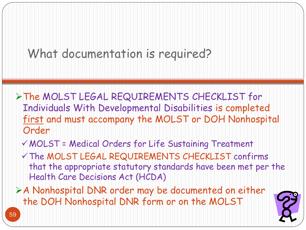## What documentation is required?

- The MOLST LEGAL REQUIREMENTS CHECKLIST for Individuals With Developmental Disabilities is completed first and must accompany the MOLST or DOH Nonhospital Order
	- MOLST = Medical Orders for Life Sustaining Treatment
	- The MOLST LEGAL REQUIREMENTS CHECKLIST confirms that the appropriate statutory standards have been met per the Health Care Decisions Act (HCDA)
- A Nonhospital DNR order may be documented on either the DOH Nonhospital DNR form or on the MOLST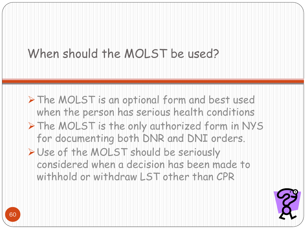## When should the MOLST be used?

> The MOLST is an optional form and best used when the person has serious health conditions > The MOLST is the only authorized form in NYS for documenting both DNR and DNI orders. > Use of the MOLST should be seriously considered when a decision has been made to withhold or withdraw LST other than CPR

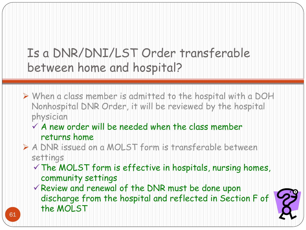# Is a DNR/DNI/LST Order transferable between home and hospital?

- When a class member is admitted to the hospital with a DOH Nonhospital DNR Order, it will be reviewed by the hospital physician
	- $\checkmark$  A new order will be needed when the class member returns home
- A DNR issued on a MOLST form is transferable between settings
	- $\checkmark$  The MOLST form is effective in hospitals, nursing homes, community settings
	- Review and renewal of the DNR must be done upon discharge from the hospital and reflected in Section F of the MOLST

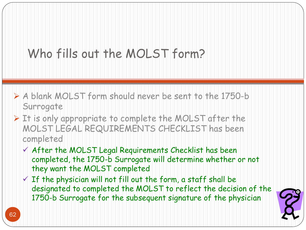# Who fills out the MOLST form?

- A blank MOLST form should never be sent to the 1750-b Surrogate
- $\triangleright$  It is only appropriate to complete the MOLST after the MOLST LEGAL REQUIREMENTS CHECKLIST has been completed
	- $\checkmark$  After the MOLST Legal Requirements Checklist has been completed, the 1750-b Surrogate will determine whether or not they want the MOLST completed
	- $\checkmark$  If the physician will not fill out the form, a staff shall be designated to completed the MOLST to reflect the decision of the 1750-b Surrogate for the subsequent signature of the physician